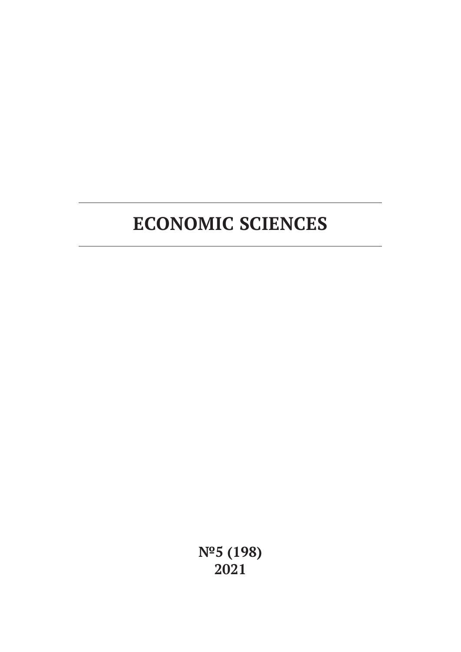**№5 (198) 2021**

# **ECONOMIC SCIENCES**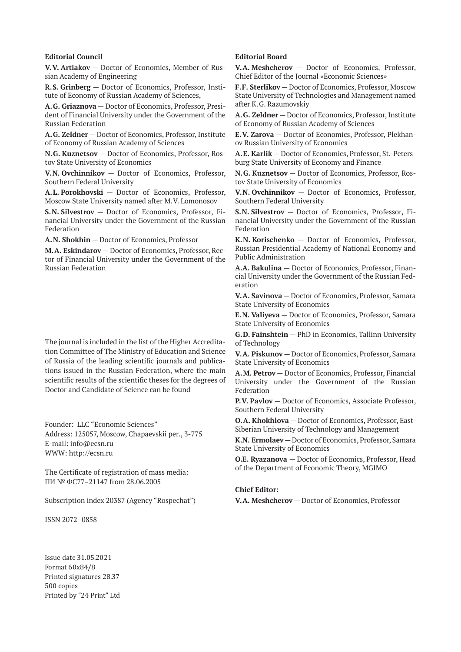#### **Editorial Council**

**V.V. Artiakov** — Doctor of Economics, Member of Russian Academy of Engineering

**R.S. Grinberg** — Doctor of Economics, Professor, Institute of Economy of Russian Academy of Sciences,

**A.G. Griaznova** — Doctor of Economics, Professor, President of Financial University under the Government of the Russian Federation

**A.G. Zeldner** — Doctor of Economics, Professor, Institute of Economy of Russian Academy of Sciences

**N.G. Kuznetsov** — Doctor of Economics, Professor, Rostov State University of Economics

**V.N. Ovchinnikov** — Doctor of Economics, Professor, Southern Federal University

**A.L. Porokhovski** — Doctor of Economics, Professor, Moscow State University named after M.V. Lomonosov

**S.N. Silvestrov** — Doctor of Economics, Professor, Financial University under the Government of the Russian Federation

**A.N. Shokhin** — Doctor of Economics, Professor

**M.A. Eskindarov** — Doctor of Economics, Professor, Rector of Financial University under the Government of the Russian Federation

The journal is included in the list of the Higher Accreditation Committee of The Ministry of Education and Science of Russia of the leading scientific journals and publications issued in the Russian Federation, where the main scientific results of the scientific theses for the degrees of Doctor and Candidate of Science can be found

Founder: LLC "Economic Sciences" Address: 125057, Moscow, Chapaevskii per., 3-775 E-mail: info@ecsn.ru WWW: http://ecsn.ru

The Certificate of registration of mass media: ПИ № ФС77–21147 from 28.06.2005

Subscription index 20387 (Agency "Rospechat")

ISSN 2072–0858

Issue date 31.05.2021 Format 60х84/8 Printed signatures 28.37 500 copies Printed by "24 Print" Ltd

### **Editorial Board**

**V.A. Meshcherov** — Doctor of Economics, Professor, Chief Editor of the Journal «Economic Sciences»

**F.F. Sterlikov** — Doctor of Economics, Professor, Moscow State University of Technologies and Management named after K.G. Razumovskiy

**A.G. Zeldner** — Doctor of Economics, Professor, Institute of Economy of Russian Academy of Sciences

**E.V. Zarova** — Doctor of Economics, Professor, Plekhanov Russian University of Economics

**A.E. Karlik** — Doctor of Economics, Professor, St.-Petersburg State University of Economy and Finance

**N.G. Kuznetsov** — Doctor of Economics, Professor, Rostov State University of Economics

**V.N. Ovchinnikov** — Doctor of Economics, Professor, Southern Federal University

**S.N. Silvestrov** — Doctor of Economics, Professor, Financial University under the Government of the Russian Federation

**K.N. Korischenko** — Doctor of Economics, Professor, Russian Presidential Academy of National Economy and Public Administration

**A.A. Bakulina** — Doctor of Economics, Professor, Financial University under the Government of the Russian Federation

**V.A. Savinova** — Doctor of Economics, Professor, Samara State University of Economics

**E.N. Valiyeva** — Doctor of Economics, Professor, Samara State University of Economics

**G.D. Fainshtein** — PhD in Economics, Tallinn University of Technology

**V.A. Piskunov** — Doctor of Economics, Professor, Samara State University of Economics

**A.M. Petrov** — Doctor of Economics, Professor, Financial University under the Government of the Russian Federation

**P.V. Pavlov** — Doctor of Economics, Associate Professor, Southern Federal University

**O.A. Khokhlova** — Doctor of Economics, Professor, East-Siberian University of Technology and Management

**K.N. Ermolaev** — Doctor of Economics, Professor, Samara State University of Economics

**O.E. Ryazanova** — Doctor of Economics, Professor, Head of the Department of Economic Theory, MGIMO

#### **Chief Editor:**

**V.A. Meshcherov** — Doctor of Economics, Professor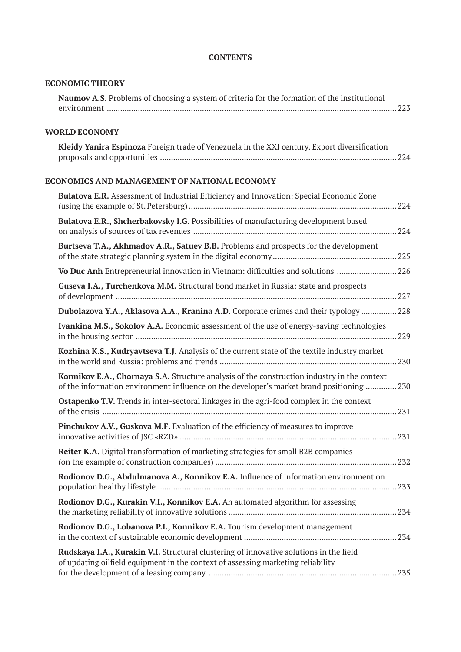| <b>ECONOMIC THEORY</b>                                                                                                                                                                   |  |
|------------------------------------------------------------------------------------------------------------------------------------------------------------------------------------------|--|
| Naumov A.S. Problems of choosing a system of criteria for the formation of the institutional                                                                                             |  |
| <b>WORLD ECONOMY</b>                                                                                                                                                                     |  |
| Kleidy Yanira Espinoza Foreign trade of Venezuela in the XXI century. Export diversification                                                                                             |  |
| ECONOMICS AND MANAGEMENT OF NATIONAL ECONOMY                                                                                                                                             |  |
| Bulatova E.R. Assessment of Industrial Efficiency and Innovation: Special Economic Zone                                                                                                  |  |
| Bulatova E.R., Shcherbakovsky I.G. Possibilities of manufacturing development based                                                                                                      |  |
| Burtseva T.A., Akhmadov A.R., Satuev B.B. Problems and prospects for the development                                                                                                     |  |
| Vo Duc Anh Entrepreneurial innovation in Vietnam: difficulties and solutions  226                                                                                                        |  |
| Guseva I.A., Turchenkova M.M. Structural bond market in Russia: state and prospects                                                                                                      |  |
| Dubolazova Y.A., Aklasova A.A., Kranina A.D. Corporate crimes and their typology  228                                                                                                    |  |
| Ivankina M.S., Sokolov A.A. Economic assessment of the use of energy-saving technologies                                                                                                 |  |
| Kozhina K.S., Kudryavtseva T.J. Analysis of the current state of the textile industry market                                                                                             |  |
| Konnikov E.A., Chornaya S.A. Structure analysis of the construction industry in the context<br>of the information environment influence on the developer's market brand positioning  230 |  |
| <b>Ostapenko T.V.</b> Trends in inter-sectoral linkages in the agri-food complex in the context                                                                                          |  |
| Pinchukov A.V., Guskova M.F. Evaluation of the efficiency of measures to improve                                                                                                         |  |
| Reiter K.A. Digital transformation of marketing strategies for small B2B companies                                                                                                       |  |
| Rodionov D.G., Abdulmanova A., Konnikov E.A. Influence of information environment on                                                                                                     |  |
| Rodionov D.G., Kurakin V.I., Konnikov E.A. An automated algorithm for assessing                                                                                                          |  |
| Rodionov D.G., Lobanova P.I., Konnikov E.A. Tourism development management                                                                                                               |  |
| Rudskaya I.A., Kurakin V.I. Structural clustering of innovative solutions in the field<br>of updating oilfield equipment in the context of assessing marketing reliability               |  |

# **CONTENTS**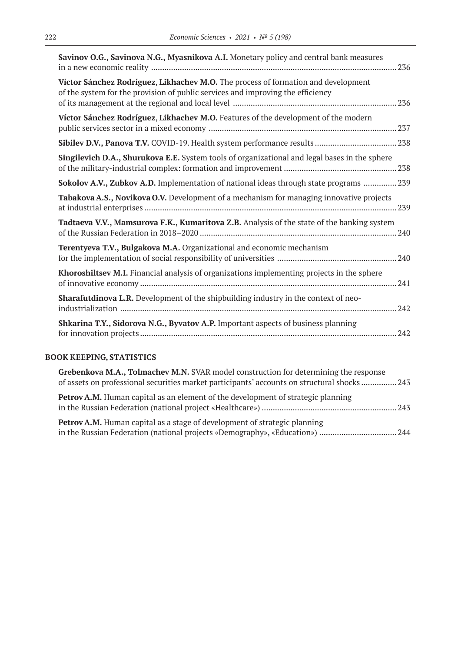| Savinov O.G., Savinova N.G., Myasnikova A.I. Monetary policy and central bank measures                                                                               | .236 |
|----------------------------------------------------------------------------------------------------------------------------------------------------------------------|------|
| Víctor Sánchez Rodríguez, Likhachev M.O. The process of formation and development<br>of the system for the provision of public services and improving the efficiency |      |
| Víctor Sánchez Rodríguez, Likhachev M.O. Features of the development of the modern                                                                                   |      |
|                                                                                                                                                                      |      |
| Singilevich D.A., Shurukova E.E. System tools of organizational and legal bases in the sphere                                                                        |      |
| Sokolov A.V., Zubkov A.D. Implementation of national ideas through state programs  239                                                                               |      |
| Tabakova A.S., Novikova O.V. Development of a mechanism for managing innovative projects                                                                             |      |
| Tadtaeva V.V., Mamsurova F.K., Kumaritova Z.B. Analysis of the state of the banking system                                                                           |      |
| <b>Terentyeva T.V., Bulgakova M.A.</b> Organizational and economic mechanism                                                                                         |      |
| Khoroshiltsev M.I. Financial analysis of organizations implementing projects in the sphere                                                                           |      |
| <b>Sharafutdinova L.R.</b> Development of the shipbuilding industry in the context of neo-                                                                           |      |
| Shkarina T.Y., Sidorova N.G., Byvatov A.P. Important aspects of business planning                                                                                    |      |

# **BOOK KEEPING, STATISTICS**

| Grebenkova M.A., Tolmachev M.N. SVAR model construction for determining the response<br>of assets on professional securities market participants' accounts on structural shocks  243 |  |
|--------------------------------------------------------------------------------------------------------------------------------------------------------------------------------------|--|
| <b>Petrov A.M.</b> Human capital as an element of the development of strategic planning                                                                                              |  |
| <b>Petrov A.M.</b> Human capital as a stage of development of strategic planning                                                                                                     |  |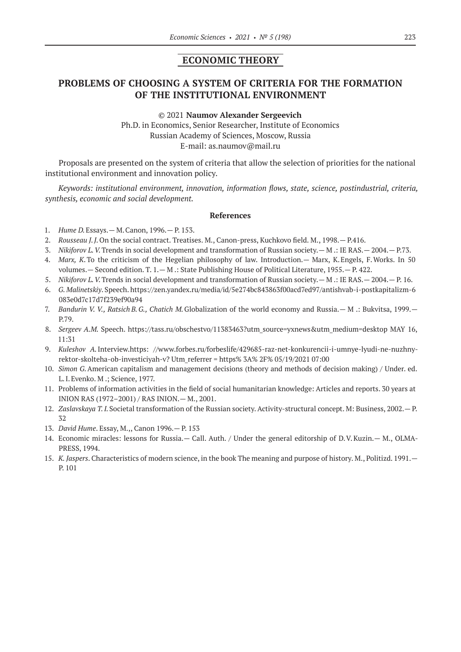## **ECONOMIC THEORY**

# **PROBLEMS OF CHOOSING A SYSTEM OF CRITERIA FOR THE FORMATION OF THE INSTITUTIONAL ENVIRONMENT**

© 2021 **Naumov Alexander Sergeevich** Ph.D. in Economics, Senior Researcher, Institute of Economics Russian Academy of Sciences, Moscow, Russia E-mail: as.naumov@mail.ru

Proposals are presented on the system of criteria that allow the selection of priorities for the national institutional environment and innovation policy.

*Keywords: institutional environment, innovation, information flows, state, science, postindustrial, criteria, synthesis, economic and social development.*

- 1. *Hume D.*Essays.— M.Canon, 1996.— P. 153.
- 2. *Rousseau J.J.*On the social contract. Treatises. M., Canon-press, Kuchkovo field. M., 1998.— P.416.
- 3. *Nikiforov L.V.*Trends in social development and transformation of Russian society.— M .: IE RAS.— 2004.— P.73.
- 4. *Marx, K*.To the criticism of the Hegelian philosophy of law. Introduction.— Marx, K.Engels, F.Works. In 50 volumes.— Second edition. T. 1.— M .: State Publishing House of Political Literature, 1955.— P. 422.
- 5. *Nikiforov L.V.*Trends in social development and transformation of Russian society.— M .: IE RAS.— 2004.— P. 16.
- 6. *G. Malinetskiy*. Speech. https://zen.yandex.ru/media/id/5e274bc843863f00acd7ed97/antishvab-i-postkapitalizm‑6 083e0d7c17d7f239ef90a94
- 7. *Bandurin V. V., Ratsich B.G., Chatich M.*Globalization of the world economy and Russia.— M .: Bukvitsa, 1999.— P.79.
- 8. *Sergeev A.M. Speech. https://tass.ru/obschestvo/11383463?utm source=yxnews&utm medium=desktop MAY 16,* 11:31
- 9. *Kuleshov A.Interview.https:* //www.forbes.ru/forbeslife/429685-raz-net-konkurencii-i-umnye-lyudi-ne-nuzhnyrektor-skolteha-ob-investiciyah-v? Utm\_referrer = https% 3A% 2F% 05/19/2021 07:00
- 10. *Simon G.*American capitalism and management decisions (theory and methods of decision making) / Under. ed. L.I.Evenko. M .; Science, 1977.
- 11. Problems of information activities in the field of social humanitarian knowledge: Articles and reports. 30 years at INION RAS (1972–2001) / RAS INION.— M., 2001.
- 12. *Zaslavskaya T.I.*Societal transformation of the Russian society. Activity-structural concept. M: Business, 2002.— P. 32
- 13. *David Hume*. Essay, M.,, Canon 1996.— P. 153
- 14. Economic miracles: lessons for Russia.— Call. Auth. / Under the general editorship of D.V.Kuzin.— M., OLMA-PRESS, 1994.
- 15. *K. Jaspers*. Characteristics of modern science, in the book The meaning and purpose of history. M., Politizd. 1991.— P. 101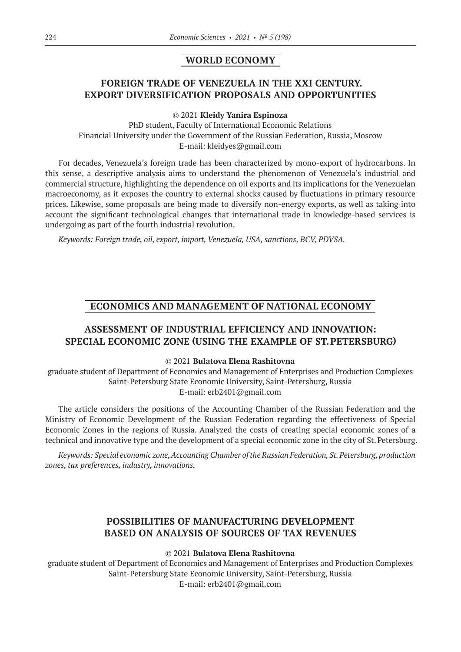## **WORLD ECONOMY**

# **FOREIGN TRADE OF VENEZUELA IN THE XXI CENTURY. EXPORT DIVERSIFICATION PROPOSALS AND OPPORTUNITIES**

© 2021 **Kleidy Yanira Espinoza**

PhD student, Faculty of International Economic Relations Financial University under the Government of the Russian Federation, Russia, Moscow E-mail: kleidyes@gmail.com

For decades, Venezuela's foreign trade has been characterized by mono-export of hydrocarbons. In this sense, a descriptive analysis aims to understand the phenomenon of Venezuela's industrial and commercial structure, highlighting the dependence on oil exports and its implications for the Venezuelan macroeconomy, as it exposes the country to external shocks caused by fluctuations in primary resource prices. Likewise, some proposals are being made to diversify non-energy exports, as well as taking into account the significant technological changes that international trade in knowledge-based services is undergoing as part of the fourth industrial revolution.

*Keywords: Foreign trade, oil, export, import, Venezuela, USA, sanctions, BCV, PDVSA.*

## **ECONOMICS AND MANAGEMENT OF NATIONAL ECONOMY**

# **ASSESSMENT OF INDUSTRIAL EFFICIENCY AND INNOVATION: SPECIAL ECONOMIC ZONE (USING THE EXAMPLE OF ST.PETERSBURG)**

## © 2021 **Bulatova Elena Rashitovna**

graduate student of Department of Economics and Management of Enterprises and Production Complexes Saint-Petersburg State Economic University, Saint-Petersburg, Russia E-mail: erb2401@gmail.com

The article considers the positions of the Accounting Chamber of the Russian Federation and the Ministry of Economic Development of the Russian Federation regarding the effectiveness of Special Economic Zones in the regions of Russia. Analyzed the costs of creating special economic zones of a technical and innovative type and the development of a special economic zone in the city of St. Petersburg.

*Keywords: Special economic zone, Accounting Chamber of the Russian Federation, St.Petersburg, production zones, tax preferences, industry, innovations.*

# **POSSIBILITIES OF MANUFACTURING DEVELOPMENT BASED ON ANALYSIS OF SOURCES OF TAX REVENUES**

## © 2021 **Bulatova Elena Rashitovna**

graduate student of Department of Economics and Management of Enterprises and Production Complexes Saint-Petersburg State Economic University, Saint-Petersburg, Russia E-mail: erb2401@gmail.com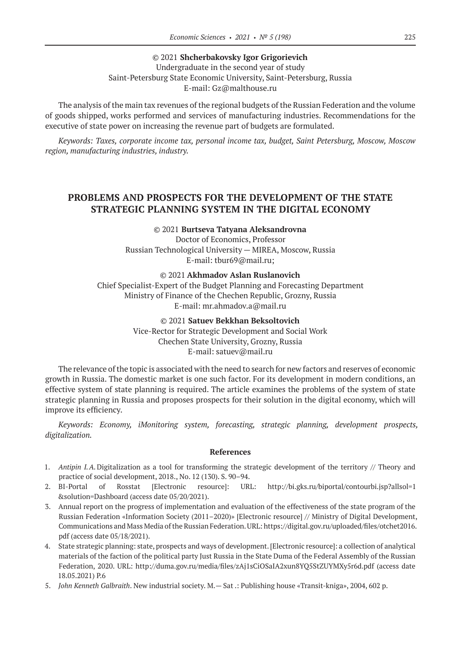© 2021 **Shcherbakovsky Igor Grigorievich** Undergraduate in the second year of study Saint-Petersburg State Economic University, Saint-Petersburg, Russia E-mail: Gz@malthouse.ru

The analysis of the main tax revenues of the regional budgets of the Russian Federation and the volume of goods shipped, works performed and services of manufacturing industries. Recommendations for the executive of state power on increasing the revenue part of budgets are formulated.

*Keywords: Taxes, corporate income tax, personal income tax, budget, Saint Petersburg, Moscow, Moscow region, manufacturing industries, industry.*

# **PROBLEMS AND PROSPECTS FOR THE DEVELOPMENT OF THE STATE STRATEGIC PLANNING SYSTEM IN THE DIGITAL ECONOMY**

© 2021 **Burtseva Tatyana Aleksandrovna** Doctor of Economics, Professor Russian Technological University — MIREA, Moscow, Russia Е-mail: tbur69@mail.ru;

© 2021 **Akhmadov Aslan Ruslanovich**

Chief Specialist-Expert of the Budget Planning and Forecasting Department Ministry of Finance of the Chechen Republic, Grozny, Russia Е-mail: mr.ahmadov.a@mail.ru

> © 2021 **Satuev Bekkhan Beksoltovich** Vice-Rector for Strategic Development and Social Work Chechen State University, Grozny, Russia Е-mail: satuev@mail.ru

The relevance of the topic is associated with the need to search for new factors and reserves of economic growth in Russia. The domestic market is one such factor. For its development in modern conditions, an effective system of state planning is required. The article examines the problems of the system of state strategic planning in Russia and proposes prospects for their solution in the digital economy, which will improve its efficiency.

*Keywords: Economy, iMonitoring system, forecasting, strategic planning, development prospects, digitalization.*

- 1. *Antipin I.A.*Digitalization as a tool for transforming the strategic development of the territory // Theory and practice of social development, 2018., No. 12 (130). S. 90–94.
- 2. BI-Portal of Rosstat [Electronic resource]: URL: http://bi.gks.ru/biportal/contourbi.jsp?allsol=1 &solution=Dashboard (access date 05/20/2021).
- 3. Annual report on the progress of implementation and evaluation of the effectiveness of the state program of the Russian Federation «Information Society (2011–2020)» [Electronic resource] // Ministry of Digital Development, Communications and Mass Media of the Russian Federation. URL: https://digital.gov.ru/uploaded/files/otchet2016. pdf (access date 05/18/2021).
- 4. State strategic planning: state, prospects and ways of development. [Electronic resource]: a collection of analytical materials of the faction of the political party Just Russia in the State Duma of the Federal Assembly of the Russian Federation, 2020. URL: http://duma.gov.ru/media/files/zAj1sCiOSaIA2xun8YQ5StZUYMXy5r6d.pdf (access date 18.05.2021) P.6
- 5. *John Kenneth Galbraith*. New industrial society. M.— Sat .: Publishing house «Transit-kniga», 2004, 602 p.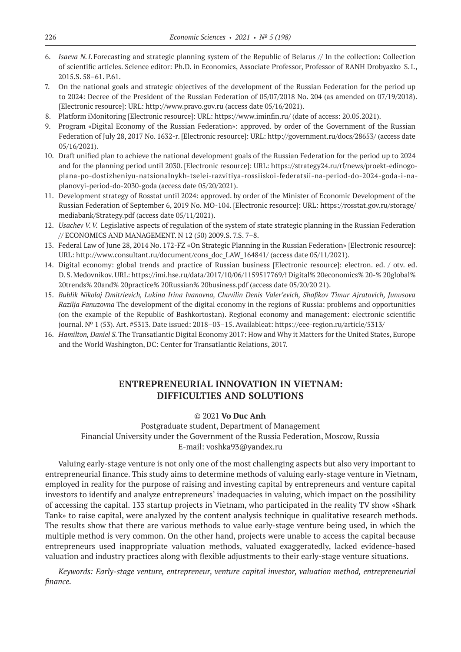- 6. *Isaeva N.I.*Forecasting and strategic planning system of the Republic of Belarus // In the collection: Collection of scientific articles. Science editor: Ph.D. in Economics, Associate Professor, Professor of RANH Drobyazko S.I., 2015.S. 58–61. P.61.
- 7. On the national goals and strategic objectives of the development of the Russian Federation for the period up to 2024: Decree of the President of the Russian Federation of 05/07/2018 No. 204 (as amended on 07/19/2018). [Electronic resource]: URL: http://www.pravo.gov.ru (access date 05/16/2021).
- 8. Platform iMonitoring [Electronic resource]: URL: https://www.iminfin.ru/ (date of access: 20.05.2021).
- 9. Program «Digital Economy of the Russian Federation»: approved. by order of the Government of the Russian Federation of July 28, 2017 No. 1632‑r. [Electronic resource]: URL: http://government.ru/docs/28653/ (access date 05/16/2021).
- 10. Draft unified plan to achieve the national development goals of the Russian Federation for the period up to 2024 and for the planning period until 2030. [Electronic resource]: URL: https://strategy24.ru/rf/news/proekt-edinogoplana-po-dostizheniyu-natsionalnykh-tselei-razvitiya-rossiiskoi-federatsii-na-period-do-2024-goda-i-naplanovyi-period-do‑2030‑goda (access date 05/20/2021).
- 11. Development strategy of Rosstat until 2024: approved. by order of the Minister of Economic Development of the Russian Federation of September 6, 2019 No. MO‑104. [Electronic resource]: URL: https://rosstat.gov.ru/storage/ mediabank/Strategy.pdf (access date 05/11/2021).
- 12. *Usachev V.V.* Legislative aspects of regulation of the system of state strategic planning in the Russian Federation // ECONOMICS AND MANAGEMENT. N 12 (50) 2009.S. 7.S. 7–8.
- 13. Federal Law of June 28, 2014 No. 172-FZ «On Strategic Planning in the Russian Federation» [Electronic resource]: URL: http://www.consultant.ru/document/cons\_doc\_LAW\_164841/ (access date 05/11/2021).
- 14. Digital economy: global trends and practice of Russian business [Electronic resource]: electron. ed. / otv. ed. D.S.Medovnikov. URL: https://imi.hse.ru/data/2017/10/06/1159517769/! Digital% 20economics% 20-% 20global% 20trends% 20and% 20practice% 20Russian% 20business.pdf (access date 05/20/20 21).
- 15. *Bublik Nikolaj Dmitrievich, Lukina Irina Ivanovna, Chuvilin Denis Valer'evich, Shafikov Timur Ajratovich, Junusova Razilja Fanuzovna* The development of the digital economy in the regions of Russia: problems and opportunities (on the example of the Republic of Bashkortostan). Regional economy and management: electronic scientific journal. № 1 (53). Art. #5313. Date issued: 2018–03–15. Availableat: https://eee-region.ru/article/5313/
- 16. *Hamilton, Daniel S.*The Transatlantic Digital Economy 2017: How and Why it Matters for the United States, Europe and the World Washington, DC: Center for Transatlantic Relations, 2017.

# **ENTREPRENEURIAL INNOVATION IN VIETNAM: DIFFICULTIES AND SOLUTIONS**

## © 2021 **Vo Duc Anh**

Postgraduate student, Department of Management Financial University under the Government of the Russia Federation, Moscow, Russia E-mail: voshka93@yandex.ru

Valuing early-stage venture is not only one of the most challenging aspects but also very important to entrepreneurial finance. This study aims to determine methods of valuing early-stage venture in Vietnam, employed in reality for the purpose of raising and investing capital by entrepreneurs and venture capital investors to identify and analyze entrepreneurs' inadequacies in valuing, which impact on the possibility of accessing the capital. 133 startup projects in Vietnam, who participated in the reality TV show «Shark Tank» to raise capital, were analyzed by the content analysis technique in qualitative research methods. The results show that there are various methods to value early-stage venture being used, in which the multiple method is very common. On the other hand, projects were unable to access the capital because entrepreneurs used inappropriate valuation methods, valuated exaggeratedly, lacked evidence-based valuation and industry practices along with flexible adjustments to their early-stage venture situations.

*Keywords: Early-stage venture, entrepreneur, venture capital investor, valuation method, entrepreneurial finance.*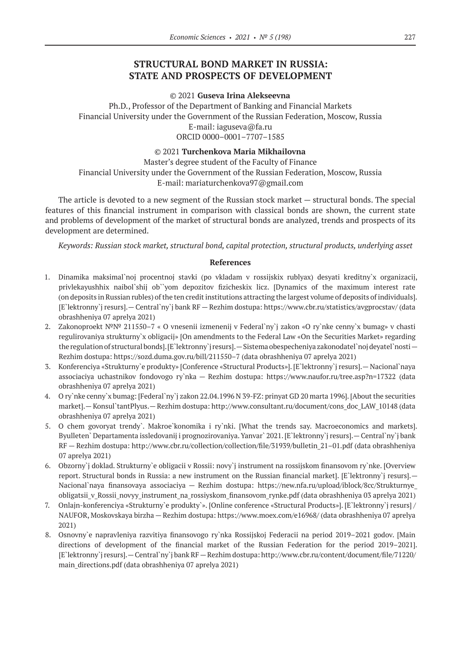# **STRUCTURAL BOND MARKET IN RUSSIA: STATE AND PROSPECTS OF DEVELOPMENT**

#### © 2021 **Guseva Irina Alekseevna**

Ph.D., Professor of the Department of Banking and Financial Markets Financial University under the Government of the Russian Federation, Moscow, Russia E-mail: iaguseva@fa.ru ORCID 0000–0001–7707–1585

### © 2021 **Turchenkova Maria Mikhailovna**

Master's degree student of the Faculty of Finance Financial University under the Government of the Russian Federation, Moscow, Russia E-mail: mariaturchenkova97@gmail.com

The article is devoted to a new segment of the Russian stock market — structural bonds. The special features of this financial instrument in comparison with classical bonds are shown, the current state and problems of development of the market of structural bonds are analyzed, trends and prospects of its development are determined.

*Keywords: Russian stock market, structural bond, capital protection, structural products, underlying asset*

- 1. Dinamika maksimal`noj procentnoj stavki (po vkladam v rossijskix rublyax) desyati kreditny`x organizacij, privlekayushhix naibol`shij ob``yom depozitov fizicheskix licz. [Dynamics of the maximum interest rate (on deposits in Russian rubles) of the ten credit institutions attracting the largest volume of deposits of individuals]. [E`lektronny`j resurs].— Central`ny`j bank RF — Rezhim dostupa: https://www.cbr.ru/statistics/avgprocstav/ (data obrashheniya 07 aprelya 2021)
- 2. Zakonoproekt №№ 211550–7 « O vnesenii izmenenij v Federal`ny`j zakon «O ry`nke cenny`x bumag» v chasti regulirovaniya strukturny`x obligacij» [On amendments to the Federal Law «On the Securities Market» regarding the regulation of structural bonds]. [E`lektronny`j resurs].—Sistema obespecheniya zakonodatel`noj deyatel`nosti— Rezhim dostupa: https://sozd.duma.gov.ru/bill/211550–7 (data obrashheniya 07 aprelya 2021)
- 3. Konferenciya «Strukturny`e produkty» [Conference «Structural Products»]. [E`lektronny`j resurs].— Nacional`naya associaciya uchastnikov fondovogo ry`nka — Rezhim dostupa: https://www.naufor.ru/tree.asp?n=17322 (data obrashheniya 07 aprelya 2021)
- 4. O ry`nke cenny`x bumag: [Federal`ny`j zakon 22.04.1996 N 39-FZ: prinyat GD 20 marta 1996]. [About the securities market].— Konsul`tantPlyus.— Rezhim dostupa: http://www.consultant.ru/document/cons\_doc\_LAW\_10148 (data obrashheniya 07 aprelya 2021)
- 5. O chem govoryat trendy`. Makroe`konomika i ry`nki. [What the trends say. Macroeconomics and markets]. Byulleten` Departamenta issledovanij i prognozirovaniya. Yanvar` 2021. [E`lektronny`j resurs].—Central`ny`j bank RF — Rezhim dostupa: http://www.cbr.ru/collection/collection/file/31939/bulletin\_21–01.pdf (data obrashheniya 07 aprelya 2021)
- 6. Obzorny`j doklad. Strukturny`e obligacii v Rossii: novy`j instrument na rossijskom finansovom ry`nke. [Overview report. Structural bonds in Russia: a new instrument on the Russian financial market]. [E`lektronny`j resurs].— Nacional`naya finansovaya associaciya — Rezhim dostupa: https://new.nfa.ru/upload/iblock/8cc/Strukturnye\_ obligatsii\_v\_Rossii\_novyy\_instrument\_na\_rossiyskom\_finansovom\_rynke.pdf (data obrashheniya 03 aprelya 2021)
- 7. Onlajn-konferenciya «Strukturny`e produkty`». [Online conference «Structural Products»]. [E`lektronny`j resurs] / NAUFOR, Moskovskaya birzha — Rezhim dostupa: https://www.moex.com/e16968/ (data obrashheniya 07 aprelya 2021)
- 8. Osnovny`e napravleniya razvitiya finansovogo ry`nka Rossijskoj Federacii na period 2019–2021 godov. [Main directions of development of the financial market of the Russian Federation for the period 2019–2021]. [E`lektronny`j resurs].—Central`ny`j bank RF—Rezhim dostupa: http://www.cbr.ru/content/document/file/71220/ main\_directions.pdf (data obrashheniya 07 aprelya 2021)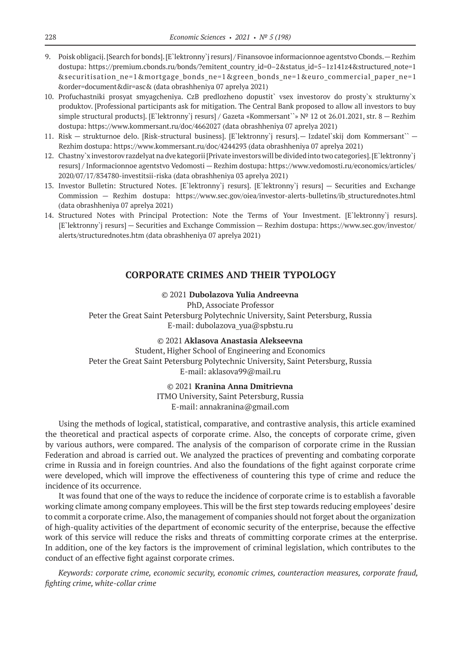- 9. Poisk obligacij. [Search for bonds]. [E`lektronny`j resurs] / Finansovoe informacionnoe agentstvo Cbonds. Rezhim dostupa: https://premium.cbonds.ru/bonds/?emitent\_country\_id=0–2&status\_id=5–1z141z4&structured\_note=1 &securitisation\_ne=1&mortgage\_bonds\_ne=1&green\_bonds\_ne=1&euro\_commercial\_paper\_ne=1 &order=document&dir=asc& (data obrashheniya 07 aprelya 2021)
- 10. Profuchastniki prosyat smyagcheniya. CzB predlozheno dopustit` vsex investorov do prosty`x strukturny`x produktov. [Professional participants ask for mitigation. The Central Bank proposed to allow all investors to buy simple structural products]. [E`lektronny`j resurs] / Gazeta «Kommersant``» № 12 ot 26.01.2021, str. 8 — Rezhim dostupa: https://www.kommersant.ru/doc/4662027 (data obrashheniya 07 aprelya 2021)
- 11. Risk strukturnoe delo. [Risk-structural business]. [E`lektronny`j resurs].— Izdatel`skij dom Kommersant`` Rezhim dostupa: https://www.kommersant.ru/doc/4244293 (data obrashheniya 07 aprelya 2021)
- 12. Chastny`x investorov razdelyat na dve kategorii [Private investors will be divided into two categories]. [E`lektronny`j resurs] / Informacionnoe agentstvo Vedomosti — Rezhim dostupa: https://www.vedomosti.ru/economics/articles/ 2020/07/17/834780‑investitsii-riska (data obrashheniya 03 aprelya 2021)
- 13. Investor Bulletin: Structured Notes. [E`lektronny`j resurs]. [E`lektronny`j resurs] Securities and Exchange Commission — Rezhim dostupa: https://www.sec.gov/oiea/investor-alerts-bulletins/ib\_structurednotes.html (data obrashheniya 07 aprelya 2021)
- 14. Structured Notes with Principal Protection: Note the Terms of Your Investment. [E`lektronny`j resurs]. [E`lektronny`j resurs] — Securities and Exchange Commission — Rezhim dostupa: https://www.sec.gov/investor/ alerts/structurednotes.htm (data obrashheniya 07 aprelya 2021)

## **CORPORATE CRIMES AND THEIR TYPOLOGY**

## © 2021 **Dubolazova Yulia Andreevna**

PhD, Associate Professor Peter the Great Saint Petersburg Polytechnic University, Saint Petersburg, Russia E-mail: dubolazova\_yua@spbstu.ru

© 2021 **Aklasova Anastasia Alekseevna**

Student, Higher School of Engineering and Economics Peter the Great Saint Petersburg Polytechnic University, Saint Petersburg, Russia E-mail: aklasova99@mail.ru

© 2021 **Kranina Anna Dmitrievna**

ITMO University, Saint Petersburg, Russia E-mail: annakranina@gmail.com

Using the methods of logical, statistical, comparative, and contrastive analysis, this article examined the theoretical and practical aspects of corporate crime. Also, the concepts of corporate crime, given by various authors, were compared. The analysis of the comparison of corporate crime in the Russian Federation and abroad is carried out. We analyzed the practices of preventing and combating corporate crime in Russia and in foreign countries. And also the foundations of the fight against corporate crime were developed, which will improve the effectiveness of countering this type of crime and reduce the incidence of its occurrence.

It was found that one of the ways to reduce the incidence of corporate crime is to establish a favorable working climate among company employees. This will be the first step towards reducing employees' desire to commit a corporate crime. Also, the management of companies should not forget about the organization of high-quality activities of the department of economic security of the enterprise, because the effective work of this service will reduce the risks and threats of committing corporate crimes at the enterprise. In addition, one of the key factors is the improvement of criminal legislation, which contributes to the conduct of an effective fight against corporate crimes.

*Keywords: corporate crime, economic security, economic crimes, counteraction measures, corporate fraud, fighting crime, white-collar crime*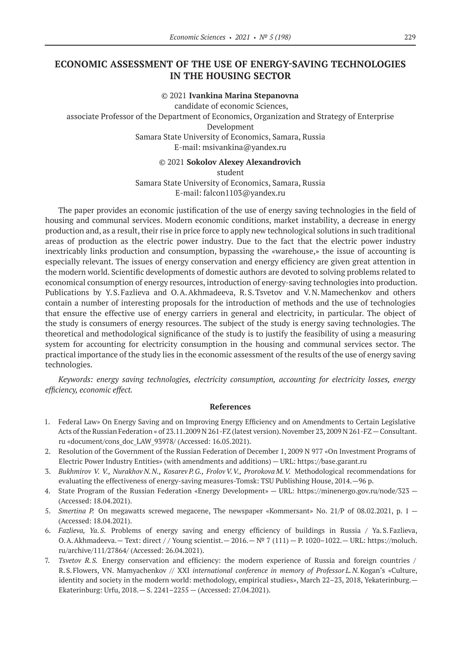# **ECONOMIC ASSESSMENT OF THE USE OF ENERGY-SAVING TECHNOLOGIES IN THE HOUSING SECTOR**

© 2021 **Ivankina Marina Stepanovna** candidate of economic Sciences, associate Professor of the Department of Economics, Organization and Strategy of Enterprise Development Samara State University of Economics, Samara, Russia E-mail: msivankina@yandex.ru

© 2021 **Sokolov Alexey Alexandrovich** student Samara State University of Economics, Samara, Russia E-mail: falcon1103@yandex.ru

The paper provides an economic justification of the use of energy saving technologies in the field of housing and communal services. Modern economic conditions, market instability, a decrease in energy production and, as a result, their rise in price force to apply new technological solutions in such traditional areas of production as the electric power industry. Due to the fact that the electric power industry inextricably links production and consumption, bypassing the «warehouse,» the issue of accounting is especially relevant. The issues of energy conservation and energy efficiency are given great attention in the modern world. Scientific developments of domestic authors are devoted to solving problems related to economical consumption of energy resources, introduction of energy-saving technologies into production. Publications by Y.S.Fazlieva and O.A.Akhmadeeva, R.S.Tsvetov and V.N.Mamechenkov and others contain a number of interesting proposals for the introduction of methods and the use of technologies that ensure the effective use of energy carriers in general and electricity, in particular. The object of the study is consumers of energy resources. The subject of the study is energy saving technologies. The theoretical and methodological significance of the study is to justify the feasibility of using a measuring system for accounting for electricity consumption in the housing and communal services sector. The practical importance of the study lies in the economic assessment of the results of the use of energy saving technologies.

*Keywords: energy saving technologies, electricity consumption, accounting for electricity losses, energy efficiency, economic effect.*

- 1. Federal Law» On Energy Saving and on Improving Energy Efficiency and on Amendments to Certain Legislative Acts of the Russian Federation « of 23.11.2009 N 261-FZ (latest version). November 23, 2009 N 261-FZ—Consultant. ru «document/cons\_doc\_LAW\_93978/ (Accessed: 16.05.2021).
- 2. Resolution of the Government of the Russian Federation of December 1, 2009 N 977 «On Investment Programs of Electric Power Industry Entities» (with amendments and additions) — URL: https://base.garant.ru
- 3. *Bukhmirov V. V., Nurakhov N.N., Kosarev P.G., FrolovV.V., Prorokova M.V.* Methodological recommendations for evaluating the effectiveness of energy-saving measures-Tomsk: TSU Publishing House, 2014.—96 p.
- 4. State Program of the Russian Federation «Energy Development» URL: https://minenergo.gov.ru/node/323 (Accessed: 18.04.2021).
- 5. *Smertina P.* On megawatts screwed megacene, The newspaper «Kommersant» No. 21/P of 08.02.2021, p. 1 (Accessed: 18.04.2021).
- 6. *Fazlieva, Ya.S*. Problems of energy saving and energy efficiency of buildings in Russia / Ya.S.Fazlieva, O.A.Akhmadeeva.— Text: direct // Young scientist.—  $2016.$ —  $N^{\circ}$  7 (111) — P. 1020–1022.— URL: https://moluch. ru/archive/111/27864/ (Accessed: 26.04.2021).
- 7. *Tsvetov R.S.* Energy conservation and efficiency: the modern experience of Russia and foreign countries / R.S.Flowers, VN. Mamyachenkov // XXI *international conference in memory of Professor L.N.*Kogan's «Culture, identity and society in the modern world: methodology, empirical studies», March 22–23, 2018, Yekaterinburg.— Ekaterinburg: Urfu, 2018.— S. 2241–2255 — (Accessed: 27.04.2021).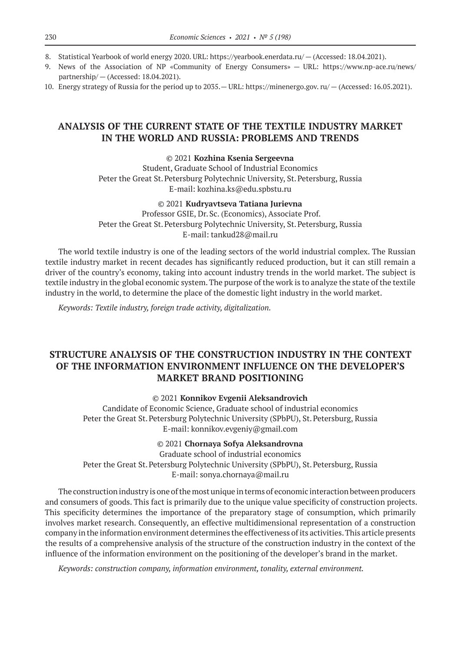- 8. Statistical Yearbook of world energy 2020. URL: https://yearbook.enerdata.ru/ (Accessed: 18.04.2021).
- 9. News of the Association of NP «Community of Energy Consumers» URL: https://www.np-ace.ru/news/ partnership/ — (Accessed: 18.04.2021).
- 10. Energy strategy of Russia for the period up to 2035.— URL: https://minenergo.gov. ru/ (Accessed: 16.05.2021).

# **ANALYSIS OF THE CURRENT STATE OF THE TEXTILE INDUSTRY MARKET IN THE WORLD AND RUSSIA: PROBLEMS AND TRENDS**

## © 2021 **Kozhina Ksenia Sergeevna**

Student, Graduate School of Industrial Economics Peter the Great St. Petersburg Polytechnic University, St. Petersburg, Russia E-mail: kozhina.ks@edu.spbstu.ru

#### © 2021 **Kudryavtseva Tatiana Jurievna**

Professor GSIE, Dr.Sc. (Economics), Associate Prof. Peter the Great St. Petersburg Polytechnic University, St. Petersburg, Russia E-mail: tankud28@mail.ru

The world textile industry is one of the leading sectors of the world industrial complex. The Russian textile industry market in recent decades has significantly reduced production, but it can still remain a driver of the country's economy, taking into account industry trends in the world market. The subject is textile industry in the global economic system. The purpose of the work is to analyze the state of the textile industry in the world, to determine the place of the domestic light industry in the world market.

*Keywords: Textile industry, foreign trade activity, digitalization.*

# **STRUCTURE ANALYSIS OF THE CONSTRUCTION INDUSTRY IN THE CONTEXT OF THE INFORMATION ENVIRONMENT INFLUENCE ON THE DEVELOPER'S MARKET BRAND POSITIONING**

## © 2021 **Konnikov Evgenii Aleksandrovich**

Candidate of Economic Science, Graduate school of industrial economics Peter the Great St. Petersburg Polytechnic University (SPbPU), St. Petersburg, Russia E-mail: konnikov.evgeniy@gmail.com

© 2021 **Chornaya Sofya Aleksandrovna**

Graduate school of industrial economics Peter the Great St. Petersburg Polytechnic University (SPbPU), St. Petersburg, Russia E-mail: sonya.chornaya@mail.ru

The construction industry is one of the most unique in terms of economic interaction between producers and consumers of goods. This fact is primarily due to the unique value specificity of construction projects. This specificity determines the importance of the preparatory stage of consumption, which primarily involves market research. Consequently, an effective multidimensional representation of a construction company in the information environment determines the effectiveness of its activities. This article presents the results of a comprehensive analysis of the structure of the construction industry in the context of the influence of the information environment on the positioning of the developer's brand in the market.

*Keywords: construction company, information environment, tonality, external environment.*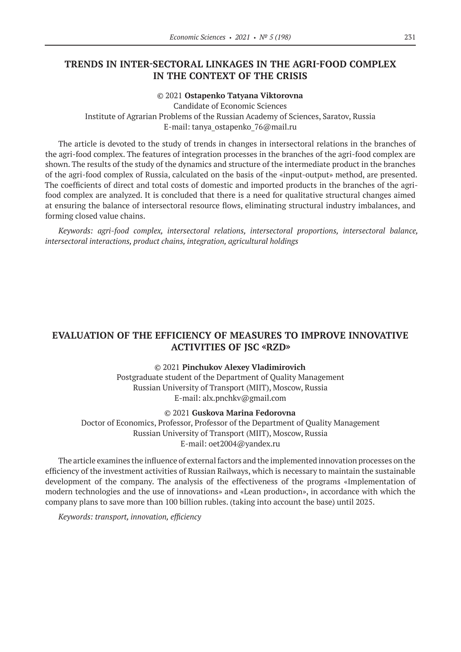# **TRENDS IN INTER-SECTORAL LINKAGES IN THE AGRI-FOOD COMPLEX IN THE CONTEXT OF THE CRISIS**

#### © 2021 **Ostapenko Тatyana Viktorovna**

Candidate of Economic Sciences Institute of Agrarian Problems of the Russian Academy of Sciences, Saratov, Russia E-mail: tanya\_ostapenko\_76@mail.ru

The article is devoted to the study of trends in changes in intersectoral relations in the branches of the agri-food complex. The features of integration processes in the branches of the agri-food complex are shown. The results of the study of the dynamics and structure of the intermediate product in the branches of the agri-food complex of Russia, calculated on the basis of the «input-output» method, are presented. The coefficients of direct and total costs of domestic and imported products in the branches of the agrifood complex are analyzed. It is concluded that there is a need for qualitative structural changes aimed at ensuring the balance of intersectoral resource flows, eliminating structural industry imbalances, and forming closed value chains.

*Keywords: agri-food complex, intersectoral relations, intersectoral proportions, intersectoral balance, intersectoral interactions, product chains, integration, agricultural holdings*

# **EVALUATION OF THE EFFICIENCY OF MEASURES TO IMPROVE INNOVATIVE ACTIVITIES OF JSC «RZD»**

## © 2021 **Pinchukov Alexey Vladimirovich**

Postgraduate student of the Department of Quality Management Russian University of Transport (MIIT), Moscow, Russia E-mail: alx.pnchkv@gmail.com

#### © 2021 **Guskova Marina Fedorovna**

Doctor of Economics, Professor, Professor of the Department of Quality Management Russian University of Transport (MIIT), Moscow, Russia E-mail: oet2004@yandex.ru

The article examines the influence of external factors and the implemented innovation processes on the efficiency of the investment activities of Russian Railways, which is necessary to maintain the sustainable development of the company. The analysis of the effectiveness of the programs «Implementation of modern technologies and the use of innovations» and «Lean production», in accordance with which the company plans to save more than 100 billion rubles. (taking into account the base) until 2025.

*Keywords: transport, innovation, efficiency*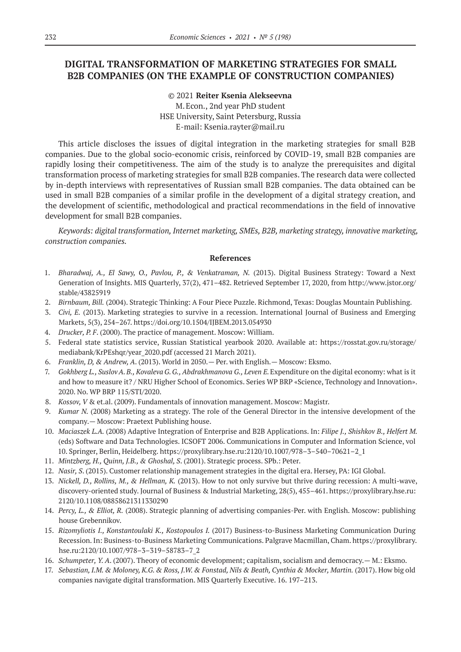# **DIGITAL TRANSFORMATION OF MARKETING STRATEGIES FOR SMALL B2B COMPANIES (ON THE EXAMPLE OF CONSTRUCTION COMPANIES)**

© 2021 **Reiter Ksenia Alekseevna** M.Econ., 2nd year PhD student HSE University, Saint Petersburg, Russia E-mail: Ksenia.rayter@mail.ru

This article discloses the issues of digital integration in the marketing strategies for small B2B companies. Due to the global socio-economic crisis, reinforced by COVID-19, small B2B companies are rapidly losing their competitiveness. The aim of the study is to analyze the prerequisites and digital transformation process of marketing strategies for small B2B companies. The research data were collected by in-depth interviews with representatives of Russian small B2B companies. The data obtained can be used in small B2B companies of a similar profile in the development of a digital strategy creation, and the development of scientific, methodological and practical recommendations in the field of innovative development for small B2B companies.

*Keywords: digital transformation, Internet marketing, SMEs, B2B, marketing strategy, innovative marketing, construction companies.*

- 1. *Bharadwaj, A., El Sawy, O., Pavlou, P., & Venkatraman, N.* (2013). Digital Business Strategy: Toward a Next Generation of Insights. MIS Quarterly, 37(2), 471–482. Retrieved September 17, 2020, from http://www.jstor.org/ stable/43825919
- 2. *Birnbaum, Bill.* (2004). Strategic Thinking: A Four Piece Puzzle. Richmond, Texas: Douglas Mountain Publishing.
- 3. *Civi, E.* (2013). Marketing strategies to survive in a recession. International Journal of Business and Emerging Markets, 5(3), 254–267. https://doi.org/10.1504/IJBEM.2013.054930
- 4. *Drucker, P. F*. (2000). The practice of management. Moscow: William.
- 5. Federal state statistics service, Russian Statistical yearbook 2020. Available at: https://rosstat.gov.ru/storage/ mediabank/KrPEshqr/year\_2020.pdf (accessed 21 March 2021).
- 6. *Franklin, D, & Andrew, A*. (2013). World in 2050.— Per. with English.— Moscow: Eksmo.
- 7. *Gokhberg L., SuslovA.B., KovalevaG.G., Abdrakhmanova G., Leven E.*Expenditure on the digital economy: what is it and how to measure it? / NRU Higher School of Economics. Series WP BRP «Science, Technology and Innovation». 2020. No. WP BRP 115/STI/2020.
- 8. *Kossov, V* & et.al. (2009). Fundamentals of innovation management. Moscow: Magistr.
- 9. *Kumar N.* (2008) Marketing as a strategy. The role of the General Director in the intensive development of the company.— Moscow: Praetext Publishing house.
- 10. *Maciaszek L.A.* (2008) Adaptive Integration of Enterprise and B2B Applications. In: *Filipe J., Shishkov B., Helfert M.*  (eds) Software and Data Technologies. ICSOFT 2006. Communications in Computer and Information Science, vol 10. Springer, Berlin, Heidelberg. https://proxylibrary.hse.ru:2120/10.1007/978–3–540–70621–2\_1
- 11. *Mintzberg, H., Quinn, J.B., & Ghoshal, S*. (2001). Strategic process. SPb.: Peter.
- 12. *Nasir, S*. (2015). Customer relationship management strategies in the digital era. Hersey, PA: IGI Global.
- 13. *Nickell, D., Rollins, M., & Hellman, K.* (2013). How to not only survive but thrive during recession: A multi-wave, discovery-oriented study. Journal of Business & Industrial Marketing, 28(5), 455–461. https://proxylibrary.hse.ru: 2120/10.1108/08858621311330290
- 14. *Percy, L., & Elliot, R.* (2008). Strategic planning of advertising companies-Per. with English. Moscow: publishing house Grebennikov.
- 15. *Rizomyliotis I., Konstantoulaki K., Kostopoulos I.* (2017) Business-to-Business Marketing Communication During Recession. In: Business-to-Business Marketing Communications. Palgrave Macmillan, Cham. https://proxylibrary. hse.ru:2120/10.1007/978–3–319–58783–7\_2
- 16. *Schumpeter, Y. A*. (2007). Theory of economic development; capitalism, socialism and democracy.— M.: Eksmo.
- 17. *Sebastian, I.M. & Moloney, K.G. & Ross, J.W. & Fonstad, Nils & Beath, Cynthia & Mocker, Martin.* (2017). How big old companies navigate digital transformation. MIS Quarterly Executive. 16. 197–213.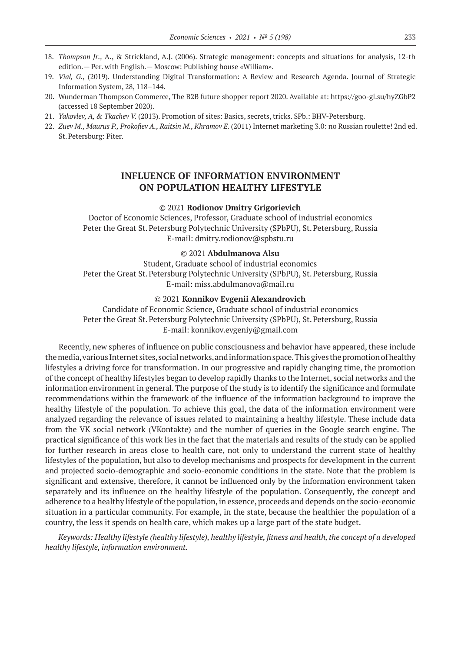- 18. *Thompson Jr.,* A., & Strickland, A.J. (2006). Strategic management: concepts and situations for analysis, 12‑th edition.— Per. with English.— Moscow: Publishing house «William».
- 19. *Vial, G.*, (2019). Understanding Digital Transformation: A Review and Research Agenda. Journal of Strategic Information System, 28, 118–144.
- 20. Wunderman Thompson Commerce, The B2B future shopper report 2020. Available at: https://goo-gl.su/hyZGbP2 (accessed 18 September 2020).
- 21. *Yakovlev, A, & Tkachev V.* (2013). Promotion of sites: Basics, secrets, tricks. SPb.: BHV-Petersburg.
- 22. *Zuev M., Maurus P., Prokofiev A., Raitsin M., Khramov E.* (2011) Internet marketing 3.0: no Russian roulette! 2nd ed. St.Petersburg: Piter.

## **INFLUENCE OF INFORMATION ENVIRONMENT ON POPULATION HEALTHY LIFESTYLE**

#### © 2021 **Rodionov Dmitry Grigorievich**

Doctor of Economic Sciences, Professor, Graduate school of industrial economics Peter the Great St. Petersburg Polytechnic University (SPbPU), St. Petersburg, Russia E-mail: dmitry.rodionov@spbstu.ru

### © 2021 **Abdulmanova Alsu**

Student, Graduate school of industrial economics Peter the Great St. Petersburg Polytechnic University (SPbPU), St. Petersburg, Russia E-mail: miss.abdulmanova@mail.ru

#### © 2021 **Konnikov Evgenii Alexandrovich**

Candidate of Economic Science, Graduate school of industrial economics Peter the Great St. Petersburg Polytechnic University (SPbPU), St. Petersburg, Russia E-mail: konnikov.evgeniy@gmail.com

Recently, new spheres of influence on public consciousness and behavior have appeared, these include the media, various Internet sites, social networks, and information space. This gives the promotion of healthy lifestyles a driving force for transformation. In our progressive and rapidly changing time, the promotion of the concept of healthy lifestyles began to develop rapidly thanks to the Internet, social networks and the information environment in general. The purpose of the study is to identify the significance and formulate recommendations within the framework of the influence of the information background to improve the healthy lifestyle of the population. To achieve this goal, the data of the information environment were analyzed regarding the relevance of issues related to maintaining a healthy lifestyle. These include data from the VK social network (VKontakte) and the number of queries in the Google search engine. The practical significance of this work lies in the fact that the materials and results of the study can be applied for further research in areas close to health care, not only to understand the current state of healthy lifestyles of the population, but also to develop mechanisms and prospects for development in the current and projected socio-demographic and socio-economic conditions in the state. Note that the problem is significant and extensive, therefore, it cannot be influenced only by the information environment taken separately and its influence on the healthy lifestyle of the population. Consequently, the concept and adherence to a healthy lifestyle of the population, in essence, proceeds and depends on the socio-economic situation in a particular community. For example, in the state, because the healthier the population of a country, the less it spends on health care, which makes up a large part of the state budget.

*Keywords: Healthy lifestyle (healthy lifestyle), healthy lifestyle, fitness and health, the concept of a developed healthy lifestyle, information environment.*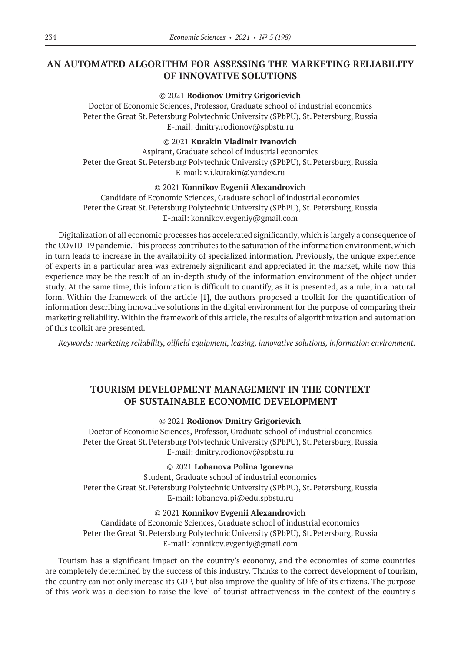# **AN AUTOMATED ALGORITHM FOR ASSESSING THE MARKETING RELIABILITY OF INNOVATIVE SOLUTIONS**

#### © 2021 **Rodionov Dmitry Grigorievich**

Doctor of Economic Sciences, Professor, Graduate school of industrial economics Peter the Great St. Petersburg Polytechnic University (SPbPU), St. Petersburg, Russia E-mail: dmitry.rodionov@spbstu.ru

© 2021 **Kurakin Vladimir Ivanovich**

Aspirant, Graduate school of industrial economics Peter the Great St. Petersburg Polytechnic University (SPbPU), St. Petersburg, Russia E-mail: v.i.kurakin@yandex.ru

## © 2021 **Konnikov Evgenii Alexandrovich**

Candidate of Economic Sciences, Graduate school of industrial economics Peter the Great St. Petersburg Polytechnic University (SPbPU), St. Petersburg, Russia E-mail: konnikov.evgeniy@gmail.com

Digitalization of all economic processes has accelerated significantly, which is largely a consequence of the COVID‑19 pandemic. This process contributes to the saturation of the information environment, which in turn leads to increase in the availability of specialized information. Previously, the unique experience of experts in a particular area was extremely significant and appreciated in the market, while now this experience may be the result of an in-depth study of the information environment of the object under study. At the same time, this information is difficult to quantify, as it is presented, as a rule, in a natural form. Within the framework of the article [1], the authors proposed a toolkit for the quantification of information describing innovative solutions in the digital environment for the purpose of comparing their marketing reliability. Within the framework of this article, the results of algorithmization and automation of this toolkit are presented.

*Keywords: marketing reliability, oilfield equipment, leasing, innovative solutions, information environment.*

# **TOURISM DEVELOPMENT MANAGEMENT IN THE CONTEXT OF SUSTAINABLE ECONOMIC DEVELOPMENT**

#### © 2021 **Rodionov Dmitry Grigorievich**

Doctor of Economic Sciences, Professor, Graduate school of industrial economics Peter the Great St. Petersburg Polytechnic University (SPbPU), St. Petersburg, Russia E-mail: dmitry.rodionov@spbstu.ru

© 2021 **Lobanova Polina Igorevna**

Student, Graduate school of industrial economics Peter the Great St. Petersburg Polytechnic University (SPbPU), St. Petersburg, Russia E-mail: lobanova.pi@edu.spbstu.ru

## © 2021 **Konnikov Evgenii Alexandrovich**

Candidate of Economic Sciences, Graduate school of industrial economics Peter the Great St. Petersburg Polytechnic University (SPbPU), St. Petersburg, Russia E-mail: konnikov.evgeniy@gmail.com

Tourism has a significant impact on the country's economy, and the economies of some countries are completely determined by the success of this industry. Thanks to the correct development of tourism, the country can not only increase its GDP, but also improve the quality of life of its citizens. The purpose of this work was a decision to raise the level of tourist attractiveness in the context of the country's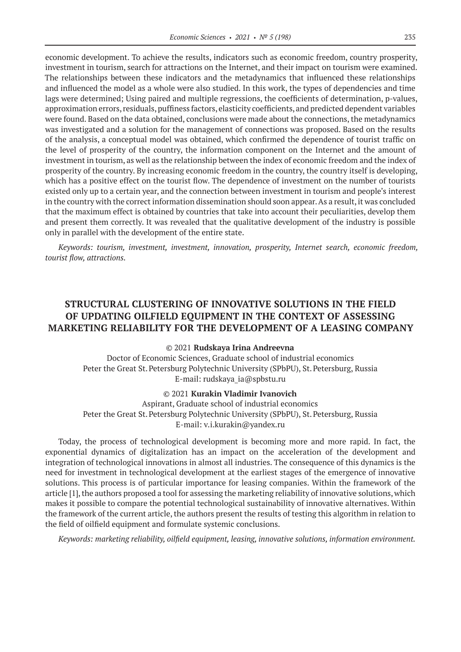economic development. To achieve the results, indicators such as economic freedom, country prosperity, investment in tourism, search for attractions on the Internet, and their impact on tourism were examined. The relationships between these indicators and the metadynamics that influenced these relationships and influenced the model as a whole were also studied. In this work, the types of dependencies and time lags were determined; Using paired and multiple regressions, the coefficients of determination, p-values, approximation errors, residuals, puffiness factors, elasticity coefficients, and predicted dependent variables were found. Based on the data obtained, conclusions were made about the connections, the metadynamics was investigated and a solution for the management of connections was proposed. Based on the results of the analysis, a conceptual model was obtained, which confirmed the dependence of tourist traffic on the level of prosperity of the country, the information component on the Internet and the amount of investment in tourism, as well as the relationship between the index of economic freedom and the index of prosperity of the country. By increasing economic freedom in the country, the country itself is developing, which has a positive effect on the tourist flow. The dependence of investment on the number of tourists existed only up to a certain year, and the connection between investment in tourism and people's interest in the country with the correct information dissemination should soon appear. As a result, it was concluded that the maximum effect is obtained by countries that take into account their peculiarities, develop them and present them correctly. It was revealed that the qualitative development of the industry is possible only in parallel with the development of the entire state.

*Keywords: tourism, investment, investment, innovation, prosperity, Internet search, economic freedom, tourist flow, attractions.*

# **STRUCTURAL CLUSTERING OF INNOVATIVE SOLUTIONS IN THE FIELD OF UPDATING OILFIELD EQUIPMENT IN THE CONTEXT OF ASSESSING MARKETING RELIABILITY FOR THE DEVELOPMENT OF A LEASING COMPANY**

## © 2021 **Rudskaya Irina Andreevna**

Doctor of Economic Sciences, Graduate school of industrial economics Peter the Great St. Petersburg Polytechnic University (SPbPU), St. Petersburg, Russia E-mail: rudskaya\_ia@spbstu.ru

© 2021 **Kurakin Vladimir Ivanovich**

Aspirant, Graduate school of industrial economics Peter the Great St. Petersburg Polytechnic University (SPbPU), St. Petersburg, Russia E-mail: v.i.kurakin@yandex.ru

Today, the process of technological development is becoming more and more rapid. In fact, the exponential dynamics of digitalization has an impact on the acceleration of the development and integration of technological innovations in almost all industries. The consequence of this dynamics is the need for investment in technological development at the earliest stages of the emergence of innovative solutions. This process is of particular importance for leasing companies. Within the framework of the article [1], the authors proposed a tool for assessing the marketing reliability of innovative solutions, which makes it possible to compare the potential technological sustainability of innovative alternatives. Within the framework of the current article, the authors present the results of testing this algorithm in relation to the field of oilfield equipment and formulate systemic conclusions.

*Keywords: marketing reliability, oilfield equipment, leasing, innovative solutions, information environment.*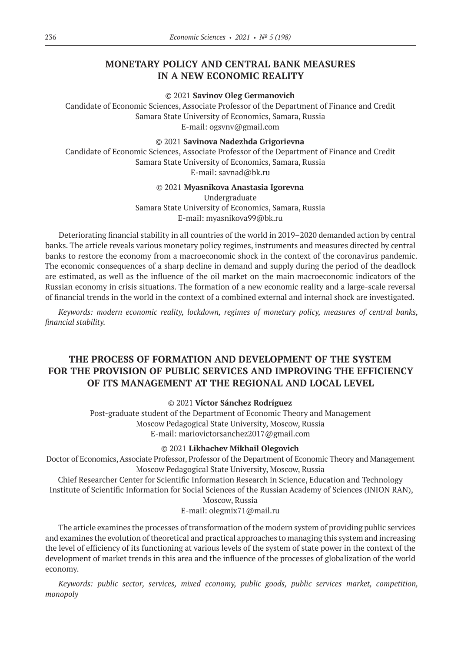# **MONETARY POLICY AND CENTRAL BANK MEASURES IN A NEW ECONOMIC REALITY**

© 2021 **Savinov Oleg Germanovich**

Candidate of Economic Sciences, Associate Professor of the Department of Finance and Credit Samara State University of Economics, Samara, Russia E-mail: ogsvnv@gmail.com

© 2021 **Savinova Nadezhda Grigorievna**

Candidate of Economic Sciences, Associate Professor of the Department of Finance and Credit Samara State University of Economics, Samara, Russia E-mail: savnad@bk.ru

© 2021 **Myasnikova Anastasia Igorevna**

Undergraduate Samara State University of Economics, Samara, Russia E-mail: myasnikova99@bk.ru

Deteriorating financial stability in all countries of the world in 2019–2020 demanded action by central banks. The article reveals various monetary policy regimes, instruments and measures directed by central banks to restore the economy from a macroeconomic shock in the context of the coronavirus pandemic. The economic consequences of a sharp decline in demand and supply during the period of the deadlock are estimated, as well as the influence of the oil market on the main macroeconomic indicators of the Russian economy in crisis situations. The formation of a new economic reality and a large-scale reversal of financial trends in the world in the context of a combined external and internal shock are investigated.

*Keywords: modern economic reality, lockdown, regimes of monetary policy, measures of central banks, financial stability.*

# **THE PROCESS OF FORMATION AND DEVELOPMENT OF THE SYSTEM FOR THE PROVISION OF PUBLIC SERVICES AND IMPROVING THE EFFICIENCY OF ITS MANAGEMENT AT THE REGIONAL AND LOCAL LEVEL**

© 2021 **Víctor Sánchez Rodríguez**

Post-graduate student of the Department of Economic Theory and Management Moscow Pedagogical State University, Moscow, Russia E-mail: mariovictorsanchez2017@gmail.com

© 2021 **Likhachev Mikhail Olegovich**

Doctor of Economics, Associate Professor, Professor of the Department of Economic Theory and Management Moscow Pedagogical State University, Moscow, Russia

Chief Researcher Center for Scientific Information Research in Science, Education and Technology Institute of Scientific Information for Social Sciences of the Russian Academy of Sciences (INION RAN),

Moscow, Russia

E-mail: olegmix71@mail.ru

The article examines the processes of transformation of the modern system of providing public services and examines the evolution of theoretical and practical approaches to managing this system and increasing the level of efficiency of its functioning at various levels of the system of state power in the context of the development of market trends in this area and the influence of the processes of globalization of the world economy.

*Keywords: public sector, services, mixed economy, public goods, public services market, competition, monopoly*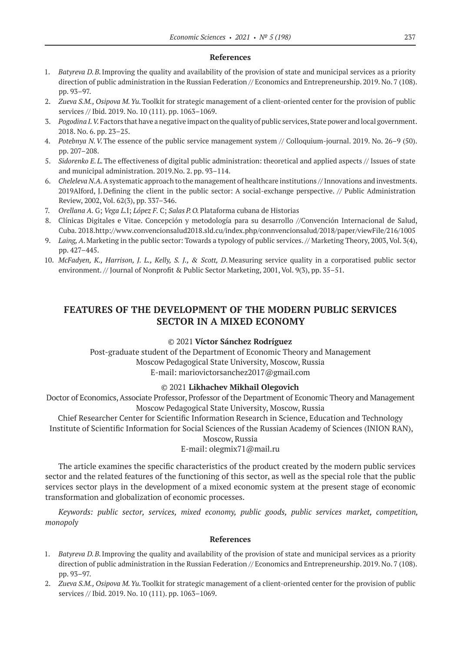## **References**

- 1. *Batyreva D.B.*Improving the quality and availability of the provision of state and municipal services as a priority direction of public administration in the Russian Federation // Economics and Entrepreneurship. 2019. No. 7 (108). pp. 93–97.
- 2. *Zueva S.M., Osipova M.Yu.*Toolkit for strategic management of a client-oriented center for the provision of public services // Ibid. 2019. No. 10 (111). pp. 1063–1069.
- 3. *Pogodina I.V.*Factors that have a negative impact on the quality of public services, State power and local government. 2018. No. 6. pp. 23–25.
- 4. *Potebnya N.V.*The essence of the public service management system // Colloquium-journal. 2019. No. 26–9 (50). pp. 207–208.
- 5. *Sidorenko E.L.*The effectiveness of digital public administration: theoretical and applied aspects // Issues of state and municipal administration. 2019.No. 2. pp. 93–114.
- 6. *Cheleleva N.A.* A systematic approach to the management of healthcare institutions // Innovations and investments. 2019Alford, J.Defining the client in the public sector: A social-exchange perspective. // Public Administration Review, 2002, Vol. 62(3), pp. 337–346.
- 7. *Orellana A.* G; *Vega L.*I; *López F.* C; *Salas P.O.*Plataforma cubana de Historias
- 8. Clínicas Digitales e Vitae. Concepción y metodología para su desarrollo //Convención Internacional de Salud, Cuba. 2018.http://www.convencionsalud2018.sld.cu/index.php/connvencionsalud/2018/paper/viewFile/216/1005
- 9. *Laing, A*.Marketing in the public sector: Towards a typology of public services. // Marketing Theory, 2003, Vol. 3(4), pp. 427–445.
- 10. *McFadyen, K., Harrison, J. L., Kelly, S. J., & Scott, D*.Measuring service quality in a corporatised public sector environment. // Journal of Nonprofit & Public Sector Marketing, 2001, Vol. 9(3), pp. 35–51.

# **FEATURES OF THE DEVELOPMENT OF THE MODERN PUBLIC SERVICES SECTOR IN A MIXED ECONOMY**

## © 2021 **Víctor Sánchez Rodríguez**

Post-graduate student of the Department of Economic Theory and Management Moscow Pedagogical State University, Moscow, Russia E-mail: mariovictorsanchez2017@gmail.com

## © 2021 **Likhachev Mikhail Olegovich**

Doctor of Economics, Associate Professor, Professor of the Department of Economic Theory and Management Moscow Pedagogical State University, Moscow, Russia

Chief Researcher Center for Scientific Information Research in Science, Education and Technology Institute of Scientific Information for Social Sciences of the Russian Academy of Sciences (INION RAN),

Moscow, Russia

## E-mail: olegmix71@mail.ru

The article examines the specific characteristics of the product created by the modern public services sector and the related features of the functioning of this sector, as well as the special role that the public services sector plays in the development of a mixed economic system at the present stage of economic transformation and globalization of economic processes.

*Keywords: public sector, services, mixed economy, public goods, public services market, competition, monopoly*

- 1. *Batyreva D.B.*Improving the quality and availability of the provision of state and municipal services as a priority direction of public administration in the Russian Federation // Economics and Entrepreneurship. 2019. No. 7 (108). pp. 93–97.
- 2. *Zueva S.M., Osipova M.Yu.*Toolkit for strategic management of a client-oriented center for the provision of public services // Ibid. 2019. No. 10 (111). pp. 1063–1069.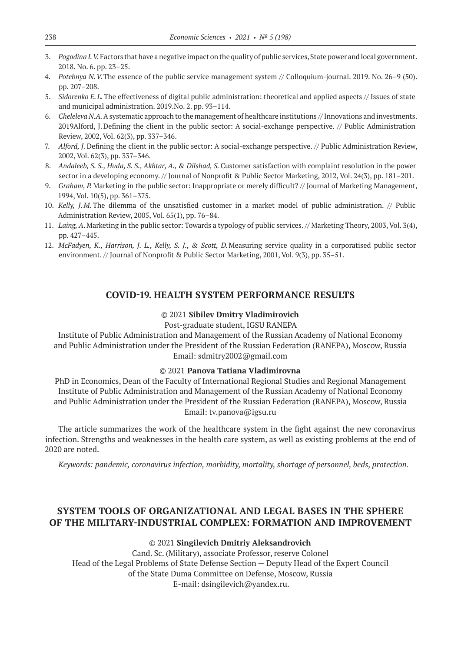- 3. *Pogodina I.V.*Factors that have a negative impact on the quality of public services, State power and local government. 2018. No. 6. pp. 23–25.
- 4. *Potebnya N.V.*The essence of the public service management system // Colloquium-journal. 2019. No. 26–9 (50). pp. 207–208.
- 5. *Sidorenko E.L.*The effectiveness of digital public administration: theoretical and applied aspects // Issues of state and municipal administration. 2019.No. 2. pp. 93–114.
- 6. *Cheleleva N.A.* A systematic approach to the management of healthcare institutions // Innovations and investments. 2019Alford, J.Defining the client in the public sector: A social-exchange perspective. // Public Administration Review, 2002, Vol. 62(3), pp. 337–346.
- 7. *Alford, J.* Defining the client in the public sector: A social-exchange perspective. // Public Administration Review, 2002, Vol. 62(3), pp. 337–346.
- 8. *Andaleeb, S. S., Huda, S. S., Akhtar, A., & Dilshad, S.* Customer satisfaction with complaint resolution in the power sector in a developing economy. // Journal of Nonprofit & Public Sector Marketing, 2012, Vol. 24(3), pp. 181–201.
- 9. *Graham, P.* Marketing in the public sector: Inappropriate or merely difficult? // Journal of Marketing Management, 1994, Vol. 10(5), pp. 361–375.
- 10. *Kelly, J.M.* The dilemma of the unsatisfied customer in a market model of public administration. // Public Administration Review, 2005, Vol. 65(1), pp. 76–84.
- 11. *Laing, A*.Marketing in the public sector: Towards a typology of public services. // Marketing Theory, 2003, Vol. 3(4), pp. 427–445.
- 12. *McFadyen, K., Harrison, J. L., Kelly, S. J., & Scott, D.*Measuring service quality in a corporatised public sector environment. // Journal of Nonprofit & Public Sector Marketing, 2001, Vol. 9(3), pp. 35–51.

## **COVID-19. HEALTH SYSTEM PERFORMANCE RESULTS**

## © 2021 **Sibilev Dmitry Vladimirovich**

#### Post-graduate student, IGSU RANEPA

Institute of Public Administration and Management of the Russian Academy of National Economy and Public Administration under the President of the Russian Federation (RANEPA), Moscow, Russia Email: sdmitry2002@gmail.com

## © 2021 **Panova Tatiana Vladimirovna**

PhD in Economics, Dean of the Faculty of International Regional Studies and Regional Management Institute of Public Administration and Management of the Russian Academy of National Economy and Public Administration under the President of the Russian Federation (RANEPA), Moscow, Russia Email: tv.panova@igsu.ru

The article summarizes the work of the healthcare system in the fight against the new coronavirus infection. Strengths and weaknesses in the health care system, as well as existing problems at the end of 2020 are noted.

*Keywords: pandemic, coronavirus infection, morbidity, mortality, shortage of personnel, beds, protection.*

# **SYSTEM TOOLS OF ORGANIZATIONAL AND LEGAL BASES IN THE SPHERE OF THE MILITARY-INDUSTRIAL COMPLEX: FORMATION AND IMPROVEMENT**

#### © 2021 **Singilevich Dmitriy Aleksandrovich**

Cand. Sc. (Military), associate Professor, reserve Colonel Head of the Legal Problems of State Defense Section — Deputy Head of the Expert Council of the State Duma Committee on Defense, Moscow, Russia E-mail: dsingilevich@yandex.ru.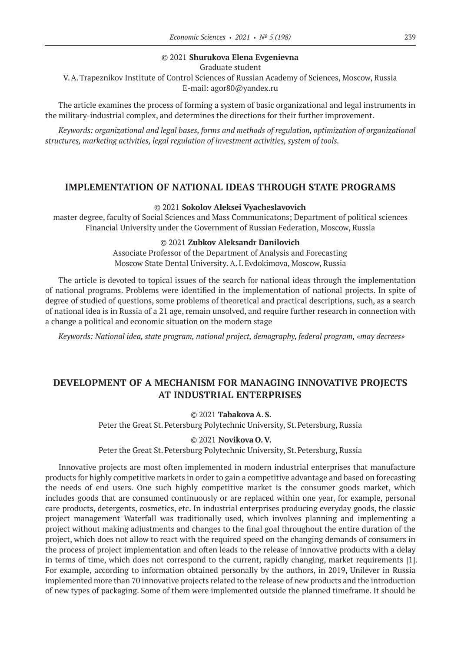## © 2021 **Shurukova Elena Evgenievna**

Graduate student

V.A.Trapeznikov Institute of Control Sciences of Russian Academy of Sciences, Moscow, Russia E-mail: agor80@yandex.ru

The article examines the process of forming a system of basic organizational and legal instruments in the military-industrial complex, and determines the directions for their further improvement.

*Keywords: organizational and legal bases, forms and methods of regulation, optimization of organizational structures, marketing activities, legal regulation of investment activities, system of tools.*

## **IMPLEMENTATION OF NATIONAL IDEAS THROUGH STATE PROGRAMS**

### © 2021 **Sokolov Aleksei Vyacheslavovich**

master degree, faculty of Social Sciences and Mass Communicatons; Department of political sciences Financial University under the Government of Russian Federation, Moscow, Russia

#### © 2021 **Zubkov Aleksandr Danilovich**

Associate Professor of the Department of Analysis and Forecasting Moscow State Dental University. A.I.Evdokimova, Moscow, Russia

The article is devoted to topical issues of the search for national ideas through the implementation of national programs. Problems were identified in the implementation of national projects. In spite of degree of studied of questions, some problems of theoretical and practical descriptions, such, as a search of national idea is in Russia of a 21 age, remain unsolved, and require further research in connection with a change a political and economic situation on the modern stage

*Keywords: National idea, state program, national project, demography, federal program, «may decrees»*

# **DEVELOPMENT OF A MECHANISM FOR MANAGING INNOVATIVE PROJECTS AT INDUSTRIAL ENTERPRISES**

© 2021 **Tabakova A.S.** Peter the Great St. Petersburg Polytechnic University, St. Petersburg, Russia

## © 2021 **Novikova O.V.**

Peter the Great St. Petersburg Polytechnic University, St. Petersburg, Russia

Innovative projects are most often implemented in modern industrial enterprises that manufacture products for highly competitive markets in order to gain a competitive advantage and based on forecasting the needs of end users. One such highly competitive market is the consumer goods market, which includes goods that are consumed continuously or are replaced within one year, for example, personal care products, detergents, cosmetics, etc. In industrial enterprises producing everyday goods, the classic project management Waterfall was traditionally used, which involves planning and implementing a project without making adjustments and changes to the final goal throughout the entire duration of the project, which does not allow to react with the required speed on the changing demands of consumers in the process of project implementation and often leads to the release of innovative products with a delay in terms of time, which does not correspond to the current, rapidly changing, market requirements [1]. For example, according to information obtained personally by the authors, in 2019, Unilever in Russia implemented more than 70 innovative projects related to the release of new products and the introduction of new types of packaging. Some of them were implemented outside the planned timeframe. It should be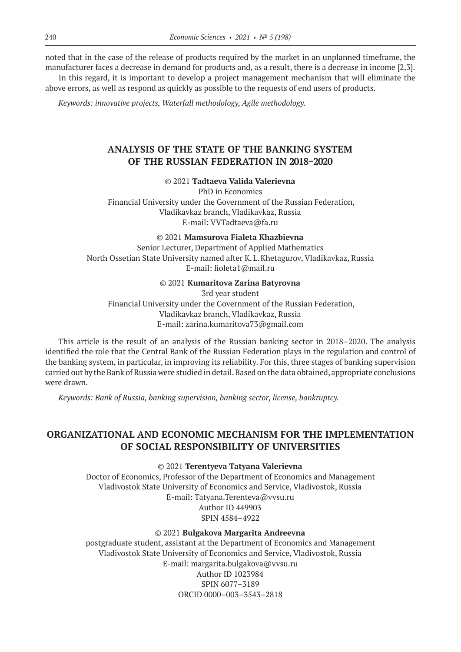noted that in the case of the release of products required by the market in an unplanned timeframe, the manufacturer faces a decrease in demand for products and, as a result, there is a decrease in income [2,3].

In this regard, it is important to develop a project management mechanism that will eliminate the above errors, as well as respond as quickly as possible to the requests of end users of products.

*Keywords: innovative projects, Waterfall methodology, Agile methodology.*

# **ANALYSIS OF THE STATE OF THE BANKING SYSTEM OF THE RUSSIAN FEDERATION IN 2018–2020**

## © 2021 **Tadtaeva Valida Valerievna**

PhD in Economics Financial University under the Government of the Russian Federation, Vladikavkaz branch, Vladikavkaz, Russia E-mail: VVTadtaeva@fa.ru

#### © 2021 **Mamsurova Fialeta Khazbievna**

Senior Lecturer, Department of Applied Mathematics North Ossetian State University named after K.L.Khetagurov, Vladikavkaz, Russia E-mail: fioleta1@mail.ru

## © 2021 **Kumaritova Zarina Batyrovna**

3rd year student Financial University under the Government of the Russian Federation, Vladikavkaz branch, Vladikavkaz, Russia E-mail: zarina.kumaritova73@gmail.com

This article is the result of an analysis of the Russian banking sector in 2018–2020. The analysis identified the role that the Central Bank of the Russian Federation plays in the regulation and control of the banking system, in particular, in improving its reliability. For this, three stages of banking supervision carried out by the Bank of Russia were studied in detail. Based on the data obtained, appropriate conclusions were drawn.

*Keywords: Bank of Russia, banking supervision, banking sector, license, bankruptcy.*

# **ORGANIZATIONAL AND ECONOMIC MECHANISM FOR THE IMPLEMENTATION OF SOCIAL RESPONSIBILITY OF UNIVERSITIES**

© 2021 **Terentyeva Tatyana Valerievna**

Doctor of Economics, Professor of the Department of Economics and Management Vladivostok State University of Economics and Service, Vladivostok, Russia E-mail: Tatyana.Terenteva@vvsu.ru Author ID 449903 SPIN 4584–4922

## © 2021 **Bulgakova Margarita Andreevna**

postgraduate student, assistant at the Department of Economics and Management Vladivostok State University of Economics and Service, Vladivostok, Russia E-mail: margarita.bulgakova@vvsu.ru Author ID 1023984 SPIN 6077–3189 ORCID 0000–003–3543–2818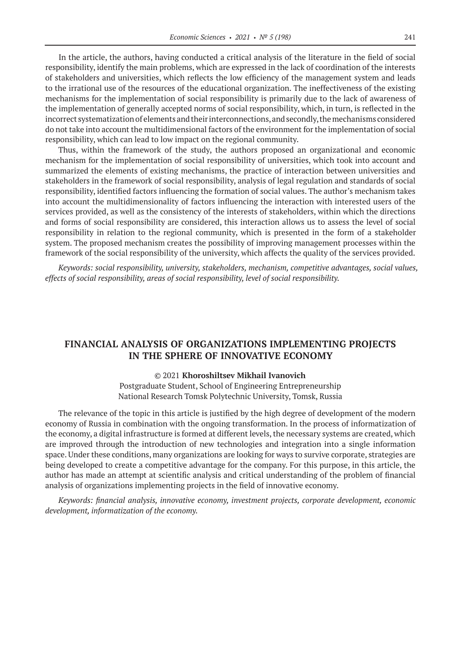In the article, the authors, having conducted a critical analysis of the literature in the field of social responsibility, identify the main problems, which are expressed in the lack of coordination of the interests of stakeholders and universities, which reflects the low efficiency of the management system and leads to the irrational use of the resources of the educational organization. The ineffectiveness of the existing mechanisms for the implementation of social responsibility is primarily due to the lack of awareness of the implementation of generally accepted norms of social responsibility, which, in turn, is reflected in the incorrect systematization of elements and their interconnections, and secondly, the mechanisms considered do not take into account the multidimensional factors of the environment for the implementation of social responsibility, which can lead to low impact on the regional community.

Thus, within the framework of the study, the authors proposed an organizational and economic mechanism for the implementation of social responsibility of universities, which took into account and summarized the elements of existing mechanisms, the practice of interaction between universities and stakeholders in the framework of social responsibility, analysis of legal regulation and standards of social responsibility, identified factors influencing the formation of social values. The author's mechanism takes into account the multidimensionality of factors influencing the interaction with interested users of the services provided, as well as the consistency of the interests of stakeholders, within which the directions and forms of social responsibility are considered, this interaction allows us to assess the level of social responsibility in relation to the regional community, which is presented in the form of a stakeholder system. The proposed mechanism creates the possibility of improving management processes within the framework of the social responsibility of the university, which affects the quality of the services provided.

*Keywords: social responsibility, university, stakeholders, mechanism, competitive advantages, social values, effects of social responsibility, areas of social responsibility, level of social responsibility.*

# **FINANCIAL ANALYSIS OF ORGANIZATIONS IMPLEMENTING PROJECTS IN THE SPHERE OF INNOVATIVE ECONOMY**

#### © 2021 **Khoroshiltsev Mikhail Ivanovich**

Postgraduate Student, School of Engineering Entrepreneurship National Research Tomsk Polytechnic University, Tomsk, Russia

The relevance of the topic in this article is justified by the high degree of development of the modern economy of Russia in combination with the ongoing transformation. In the process of informatization of the economy, a digital infrastructure is formed at different levels, the necessary systems are created, which are improved through the introduction of new technologies and integration into a single information space. Under these conditions, many organizations are looking for ways to survive corporate, strategies are being developed to create a competitive advantage for the company. For this purpose, in this article, the author has made an attempt at scientific analysis and critical understanding of the problem of financial analysis of organizations implementing projects in the field of innovative economy.

*Keywords: financial analysis, innovative economy, investment projects, corporate development, economic development, informatization of the economy.*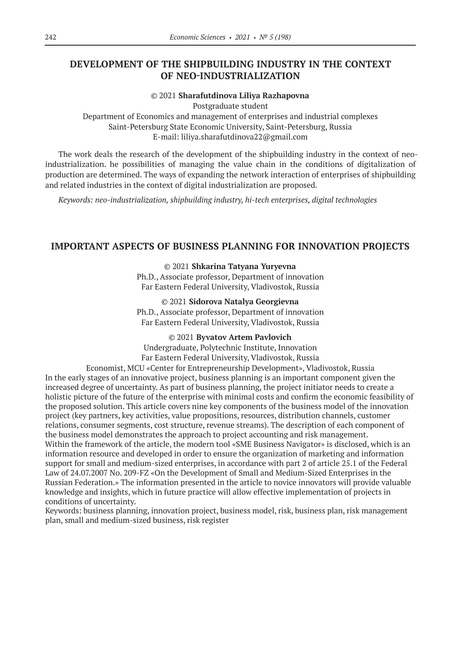# **DEVELOPMENT OF THE SHIPBUILDING INDUSTRY IN THE CONTEXT OF NEO-INDUSTRIALIZATION**

## © 2021 **Sharafutdinova Liliya Razhapovna**

Postgraduate student

Department of Economics and management of enterprises and industrial complexes Saint-Petersburg State Economic University, Saint-Petersburg, Russia E-mail: liliya.sharafutdinova22@gmail.com

The work deals the research of the development of the shipbuilding industry in the context of neoindustrialization. he possibilities of managing the value chain in the conditions of digitalization of production are determined. The ways of expanding the network interaction of enterprises of shipbuilding and related industries in the context of digital industrialization are proposed.

*Keywords: neo-industrialization, shipbuilding industry, hi-tech enterprises, digital technologies*

## **IMPORTANT ASPECTS OF BUSINESS PLANNING FOR INNOVATION PROJECTS**

© 2021 **Shkarina Tatyana Yuryevna**

Ph.D., Associate professor, Department of innovation Far Eastern Federal University, Vladivostok, Russia

## © 2021 **Sidorova Natalya Georgievna**

Ph.D., Associate professor, Department of innovation Far Eastern Federal University, Vladivostok, Russia

© 2021 **Byvatov Artem Pavlovich**

Undergraduate, Polytechnic Institute, Innovation

Far Eastern Federal University, Vladivostok, Russia

Economist, MCU «Center for Entrepreneurship Development», Vladivostok, Russia In the early stages of an innovative project, business planning is an important component given the increased degree of uncertainty. As part of business planning, the project initiator needs to create a holistic picture of the future of the enterprise with minimal costs and confirm the economic feasibility of the proposed solution. This article covers nine key components of the business model of the innovation project (key partners, key activities, value propositions, resources, distribution channels, customer relations, consumer segments, cost structure, revenue streams). The description of each component of the business model demonstrates the approach to project accounting and risk management. Within the framework of the article, the modern tool «SME Business Navigator» is disclosed, which is an information resource and developed in order to ensure the organization of marketing and information support for small and medium-sized enterprises, in accordance with part 2 of article 25.1 of the Federal Law of 24.07.2007 No. 209-FZ «On the Development of Small and Medium-Sized Enterprises in the Russian Federation.» The information presented in the article to novice innovators will provide valuable knowledge and insights, which in future practice will allow effective implementation of projects in conditions of uncertainty.

Keywords: business planning, innovation project, business model, risk, business plan, risk management plan, small and medium-sized business, risk register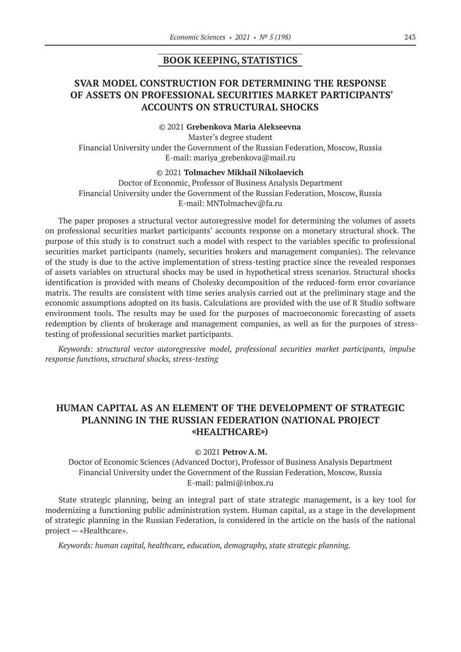## **BOOK KEEPING, STATISTICS**

# **SVAR MODEL CONSTRUCTION FOR DETERMINING THE RESPONSE OF ASSETS ON PROFESSIONAL SECURITIES MARKET PARTICIPANTS' ACCOUNTS ON STRUCTURAL SHOCKS**

## © 2021 **Grebenkova Maria Alekseevna**

Master's degree student Financial University under the Government of the Russian Federation, Moscow, Russia E-mail: mariya\_grebenkova@mail.ru

## © 2021 **Tolmachev Mikhail Nikolaevich**

Doctor of Economic, Professor of Business Analysis Department Financial University under the Government of the Russian Federation, Moscow, Russia E-mail: MNTolmachev@fa.ru

The paper proposes a structural vector autoregressive model for determining the volumes of assets on professional securities market participants' accounts response on a monetary structural shock. The purpose of this study is to construct such a model with respect to the variables specific to professional securities market participants (namely, securities brokers and management companies). The relevance of the study is due to the active implementation of stress-testing practice since the revealed responses of assets variables on structural shocks may be used in hypothetical stress scenarios. Structural shocks identification is provided with means of Cholesky decomposition of the reduced-form error covariance matrix. The results are consistent with time series analysis carried out at the preliminary stage and the economic assumptions adopted on its basis. Calculations are provided with the use of R Studio software environment tools. The results may be used for the purposes of macroeconomic forecasting of assets redemption by clients of brokerage and management companies, as well as for the purposes of stresstesting of professional securities market participants.

*Keywords: structural vector autoregressive model, professional securities market participants, impulse response functions, structural shocks, stress-testing*

# **HUMAN CAPITAL AS AN ELEMENT OF THE DEVELOPMENT OF STRATEGIC PLANNING IN THE RUSSIAN FEDERATION (NATIONAL PROJECT «HEALTHCARE»)**

#### © 2021 **Petrov A.M.**

Doctor of Economic Sciences (Advanced Doctor), Professor of Business Analysis Department Financial University under the Government of the Russian Federation, Moscow, Russia E-mail: palmi@inbox.ru

State strategic planning, being an integral part of state strategic management, is a key tool for modernizing a functioning public administration system. Human capital, as a stage in the development of strategic planning in the Russian Federation, is considered in the article on the basis of the national project — «Healthcare».

*Keywords: human capital, healthcare, education, demography, state strategic planning.*